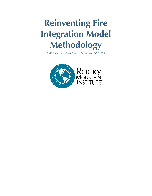## **Reinventing Fire Integration Model Methodology**

2317 Snowmass Creek Road | Snowmass, CO 81654

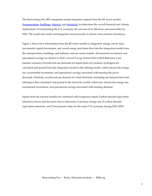The Reinventing Fire (RF) integration model integrates outputs from the RF sector models [\(transportation,](http://www.rmi.org/rmi.org/content/files/reinventingfire_transportationsectormethodology.pdf) [buildings,](http://www.rmi.org/content/files/reinventingfire_buildingssectormethodology.pdf) [industry,](http://www.rmi.org/content/files/reinventingfire_industrysectormethodology.pdf) and [electricity](http://www.rmi.org/content/files/reinventingfire_electricitysectormethodology.pdf)) to determine the overall financial and climate implications of transitioning the U.S. economy off coal and oil to efficiency and renewables by 2050. The model also tracks and integrates sectoral results to ensure cross-sectoral consistency.

Figure 1 shows how information from the RF sector models is integrated: energy use by type, incremental capital investment, and saved energy purchases flow into the integration model from the transportation, buildings, and industry end-use sector models. (Incremental investment and operational savings are relative to EIA's *Annual Energy Outlook* 2010 (AEO) Reference Case baseline scenario.) Overall end-use demands for liquid fuels (oil, biofuels, hydrogen) are calculated and passed from the integration model to the refining model, which returns the energy use, incremental investment, and operational savings associated with meeting the given demands. Similarly, overall end-use demand for retail electricity (including net demand from fuel refining) is then calculated and passed to the electricity model, which also returns the energy use, incremental investment, and operational savings associated with meeting demand.

Inputs from the sectoral models are combined with exogenous inputs (carbon dioxide-equivalent emissions factors and discount rate) to determine 1) primary energy use, 2) carbon dioxideequivalent emissions, and 3) net present value for the entire U.S. economy during 2010–2050.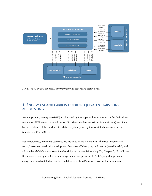

*Fig. 1. The RF integration model integrates outputs from the RF sector models.*

## **1. ENERGY USE AND CARBON DIOXIDE-EQUIVALENT EMISSIONS ACCOUNTING**

Annual primary energy use (BTU) is calculated by fuel type as the simple sum of the fuel's direct use across all RF sectors. Annual carbon dioxide-equivalent emissions (in metric tons) are given by the total sum of the product of each fuel's primary use by its associated emissions factor (metric tons C02-e/BTU).

Four energy use/emissions scenarios are included in the RF analysis. The first, "business-asusual," assumes no additional adoption of end-use efficiency beyond that projected in AEO, and adopts the *Maintain* scenario for the electricity sector (see *Reinventing Fire*, Chapter 5). To validate the model, we compared this scenario's primary energy output to AEO's projected primary energy use (less feedstocks); the two matched to within 3% for each year of the simulation.

Reinventing Fire | Rocky Mountain Institute | RMI.org